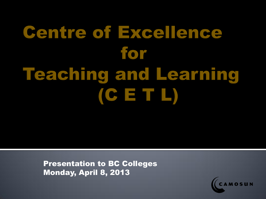# **Centre of Excellence** for **Teaching and Learning**  $(CETL)$

Presentation to BC Colleges Monday, April 8, 2013

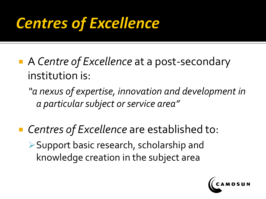#### **Centres of Excellence**

■ A *Centre of Excellence* at a post-secondary institution is:

*"a nexus of expertise, innovation and development in a particular subject or service area"*

■ Centres of Excellence are established to: Support basic research, scholarship and knowledge creation in the subject area

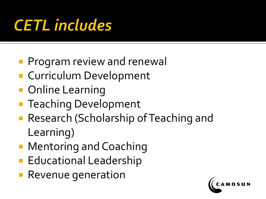## **CETL** includes

- **Program review and renewall**
- **Curriculum Development**
- Online Learning
- **Teaching Development**
- **Research (Scholarship of Teaching and** Learning)
- **Mentoring and Coaching**
- **Educational Leadership**
- **Revenue generation**

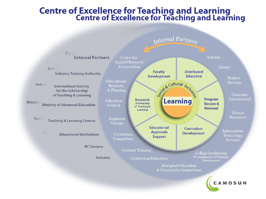#### **Centre of Excellence for Teaching and Learning<br>Centre of Excellence for Teaching and Learning**

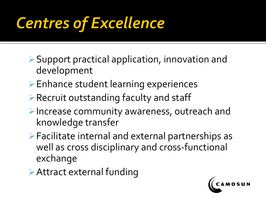## **Centres of Excellence**

- Support practical application, innovation and development
- Enhance student learning experiences
- Recruit outstanding faculty and staff
- Increase community awareness, outreach and knowledge transfer
- Facilitate internal and external partnerships as well as cross disciplinary and cross-functional exchange
- Attract external funding

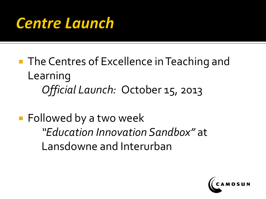#### **Centre Launch**

- **The Centres of Excellence in Teaching and** Learning *Official Launch:* October 15, 2013
- **Followed by a two week** *"Education Innovation Sandbox"* at Lansdowne and Interurban

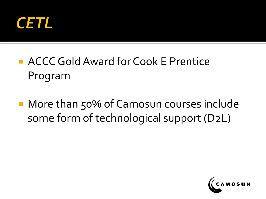

#### **ACCC Gold Award for Cook E Prentice** Program

■ More than 50% of Camosun courses include some form of technological support (D2L)

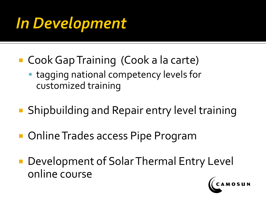### In Development

- Cook Gap Training (Cook a la carte)
	- tagging national competency levels for customized training
- Shipbuilding and Repair entry level training
- **Online Trades access Pipe Program**
- **Development of Solar Thermal Entry Level** online course